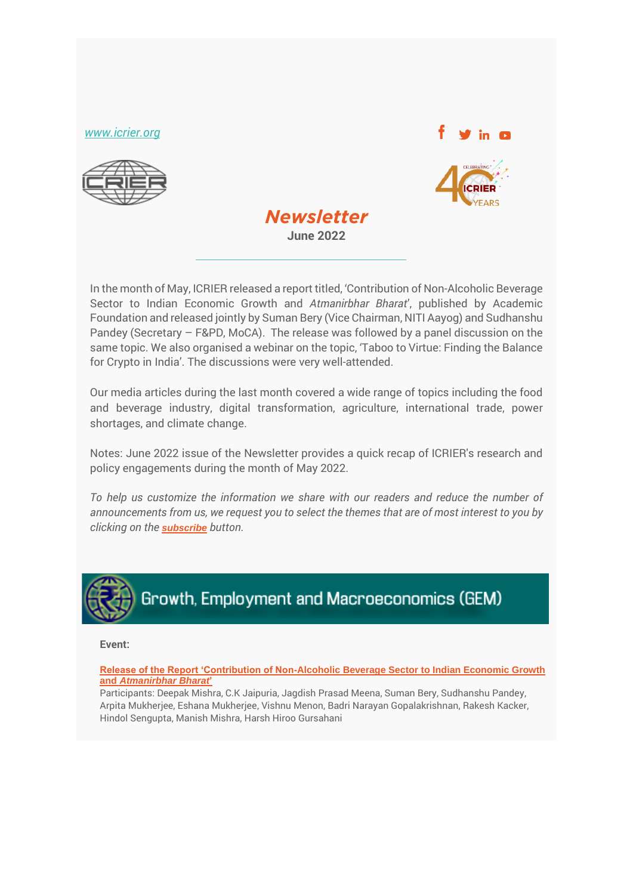*[www.icrier.org](file:///C:/Users/ICRIER-R/Downloads/Emailer%20(1)/www.icrier.org)*







In the month of May, ICRIER released a report titled, 'Contribution of Non-Alcoholic Beverage Sector to Indian Economic Growth and *Atmanirbhar Bharat*', published by Academic Foundation and released jointly by Suman Bery (Vice Chairman, NITI Aayog) and Sudhanshu Pandey (Secretary – F&PD, MoCA). The release was followed by a panel discussion on the same topic. We also organised a webinar on the topic, 'Taboo to Virtue: Finding the Balance for Crypto in India'. The discussions were very well-attended.

Our media articles during the last month covered a wide range of topics including the food and beverage industry, digital transformation, agriculture, international trade, power shortages, and climate change.

Notes: June 2022 issue of the Newsletter provides a quick recap of ICRIER's research and policy engagements during the month of May 2022.

*To help us customize the information we share with our readers and reduce the number of announcements from us, we request you to select the themes that are of most interest to you by clicking on the [subscribe](https://forms.office.com/r/jEyNsNddDE) button.*



**Event:**

**[Release of the Report 'Contribution of Non-Alcoholic Beverage Sector to Indian Economic Growth](http://icrier.org/newsevents/seminar-details/?sid=554)  and** *[Atmanirbhar Bharat](http://icrier.org/newsevents/seminar-details/?sid=554)***'**

Participants: Deepak Mishra, C.K Jaipuria, Jagdish Prasad Meena, Suman Bery, Sudhanshu Pandey, Arpita Mukherjee, Eshana Mukherjee, Vishnu Menon, Badri Narayan Gopalakrishnan, Rakesh Kacker, Hindol Sengupta, Manish Mishra, Harsh Hiroo Gursahani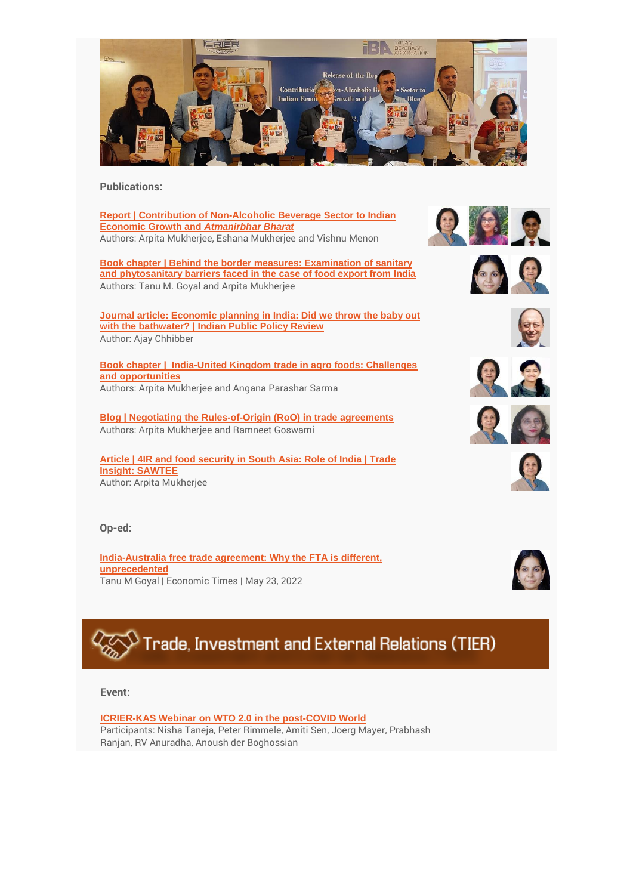

**Publications:**

**[Report | Contribution of Non-Alcoholic Beverage Sector to Indian](http://icrier.org/pdf/ES_Contribution_of_Non-Alcoholic_Beverage.pdf)  [Economic Growth and](http://icrier.org/pdf/ES_Contribution_of_Non-Alcoholic_Beverage.pdf)** *Atmanirbhar Bharat* Authors: Arpita Mukherjee, Eshana Mukherjee and Vishnu Menon

**[Book chapter | Behind the border measures: Examination of sanitary](https://www.bloomsbury.com/in/indias-agriculture-and-food-exports-9789354357978/)  [and phytosanitary barriers faced in the case of food export from India](https://www.bloomsbury.com/in/indias-agriculture-and-food-exports-9789354357978/)** Authors: Tanu M. Goyal and Arpita Mukherjee

**[Journal article: Economic planning in India: Did we throw the baby out](https://ippr.in/index.php/ippr/article/view/111)  [with the bathwater? | Indian Public Policy Review](https://ippr.in/index.php/ippr/article/view/111)** Author: Ajay Chhibber

**[Book chapter | India-United Kingdom trade in agro foods: Challenges](https://www.bloomsbury.com/in/indias-agriculture-and-food-exports-9789354357978/)  [and opportunities](https://www.bloomsbury.com/in/indias-agriculture-and-food-exports-9789354357978/)** Authors: Arpita Mukherjee and Angana Parashar Sarma

**[Blog | Negotiating the Rules-of-Origin \(RoO\) in trade agreements](https://www.tpci.in/indiabusinesstrade/blogs/negotiating-the-rules-of-origin-roo-in-trade-agreements/)** Authors: Arpita Mukherjee and Ramneet Goswami

**[Article | 4IR and food security in South Asia: Role of India | Trade](https://www.sawtee.org/publications/TI_Vol-17_No-3-4_2021.pdf#A3)  [Insight: SAWTEE](https://www.sawtee.org/publications/TI_Vol-17_No-3-4_2021.pdf#A3)** Author: Arpita Mukherjee

**Op-ed:**

**[India-Australia free trade agreement: Why the FTA is different,](https://economictimes.indiatimes.com/small-biz/trade/exports/insights/india-australia-free-trade-agreement-why-the-fta-is-different-unprecedented/articleshow/91734518.cms)  [unprecedented](https://economictimes.indiatimes.com/small-biz/trade/exports/insights/india-australia-free-trade-agreement-why-the-fta-is-different-unprecedented/articleshow/91734518.cms)** Tanu M Goyal | Economic Times | May 23, 2022















# Trade, Investment and External Relations (TIER)

**Event:**

#### **[ICRIER-KAS Webinar on WTO 2.0 in the post-COVID World](http://icrier.org/newsevents/seminars/newsevents/seminar-details/?sid=552)**

Participants: Nisha Taneja, Peter Rimmele, Amiti Sen, Joerg Mayer, Prabhash Ranjan, RV Anuradha, Anoush der Boghossian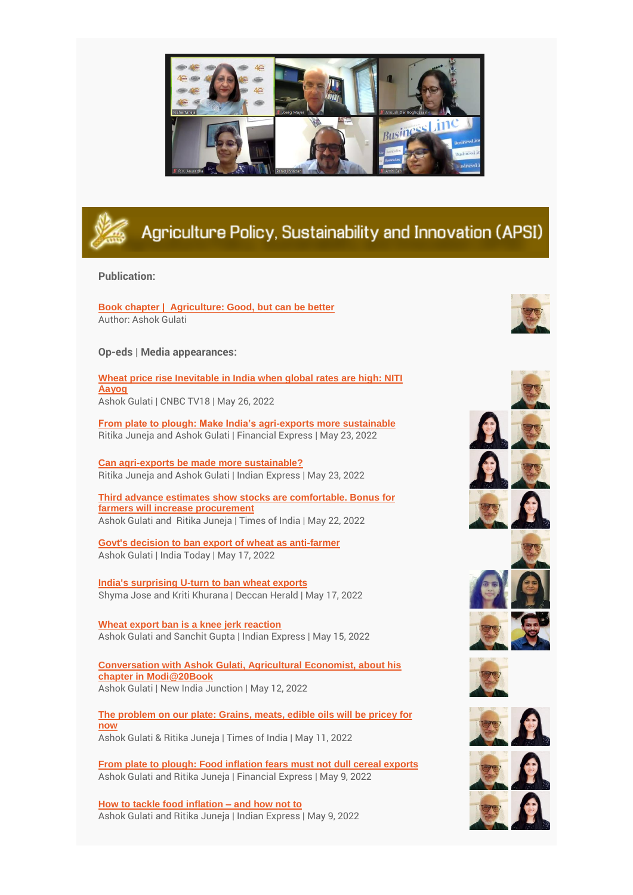



## Agriculture Policy, Sustainability and Innovation (APSI)

#### **Publication:**

**[Book chapter | Agriculture: Good, but can be better](https://rupapublications.co.in/books/modi20-dreams-meet-delivery/)** Author: Ashok Gulati

**Op-eds | Media appearances:**

**[Wheat price rise Inevitable in India when global rates are high: NITI](https://www.cnbctv18.com/economy/wheat-price-rise-inevitable-in-india-when-global-rates-are-high-niti-aayog-13621532.htm/amp)  [Aayog](https://www.cnbctv18.com/economy/wheat-price-rise-inevitable-in-india-when-global-rates-are-high-niti-aayog-13621532.htm/amp)** Ashok Gulati | CNBC TV18 | May 26, 2022

**[From plate to plough: Make India's agri-exports more sustainable](https://www.financialexpress.com/opinion/from-plate-to-plough-make-indias-agri-exports-more-sustainable/2533917/)** Ritika Juneja and Ashok Gulati | Financial Express | May 23, 2022

**[Can agri-exports be made more sustainable?](https://indianexpress.com/article/opinion/columns/can-agri-exports-be-made-more-sustainable-7930829/)** Ritika Juneja and Ashok Gulati | Indian Express | May 23, 2022

**[Third advance estimates show stocks are comfortable. Bonus for](https://timesofindia.indiatimes.com/blogs/toi-edit-page/why-goi-can-resume-wheat-exports-third-advance-estimates-show-stocks-are-comfortable-bonus-for-farmers-will-increase-procurement/)  [farmers will increase procurement](https://timesofindia.indiatimes.com/blogs/toi-edit-page/why-goi-can-resume-wheat-exports-third-advance-estimates-show-stocks-are-comfortable-bonus-for-farmers-will-increase-procurement/)** Ashok Gulati and Ritika Juneja | Times of India | May 22, 2022

**[Govt's decision to ban export of wheat as anti-farmer](https://www.indiatoday.in/india/video/dr-ashok-gulati-calls-govt-s-decision-to-ban-export-of-wheat-as-anti-farmer-1950695-2022-05-17)** Ashok Gulati | India Today | May 17, 2022

**[India's surprising U-turn to ban wheat exports](https://www.deccanherald.com/opinion/indias-surprising-u-turn-to-ban-wheat-exports-1109662.html)** Shyma Jose and Kriti Khurana | Deccan Herald | May 17, 2022

**[Wheat export ban is a knee jerk reaction](https://indianexpress.com/article/opinion/wheat-export-ban-is-a-knee-jerk-reaction-7917185/)** Ashok Gulati and Sanchit Gupta | Indian Express | May 15, 2022

**[Conversation with Ashok Gulati, Agricultural Economist, about his](https://www.youtube.com/watch?v=pLdqH6_SzrU)  [chapter in Modi@20Book](https://www.youtube.com/watch?v=pLdqH6_SzrU)** Ashok Gulati | New India Junction | May 12, 2022

**[The problem on our plate: Grains, meats, edible oils will be pricey for](https://timesofindia.indiatimes.com/blogs/toi-edit-page/the-problem-on-our-plate-grains-meats-edible-oils-will-be-pricey-for-now-rbi-goi-course-correction-will-take-2-years/)  [now](https://timesofindia.indiatimes.com/blogs/toi-edit-page/the-problem-on-our-plate-grains-meats-edible-oils-will-be-pricey-for-now-rbi-goi-course-correction-will-take-2-years/)** Ashok Gulati & Ritika Juneja | Times of India | May 11, 2022

**[From plate to plough: Food inflation fears must not dull cereal exports](https://www.financialexpress.com/opinion/from-plate-to-plough-food-inflation-fears-must-not-dull-cereal-exports/2516900/)** Ashok Gulati and Ritika Juneja | Financial Express | May 9, 2022

**[How to tackle food inflation –](https://indianexpress.com/article/opinion/columns/how-to-tackle-food-inflation-and-how-not-to-7907040/) and how not to** Ashok Gulati and Ritika Juneja | Indian Express | May 9, 2022

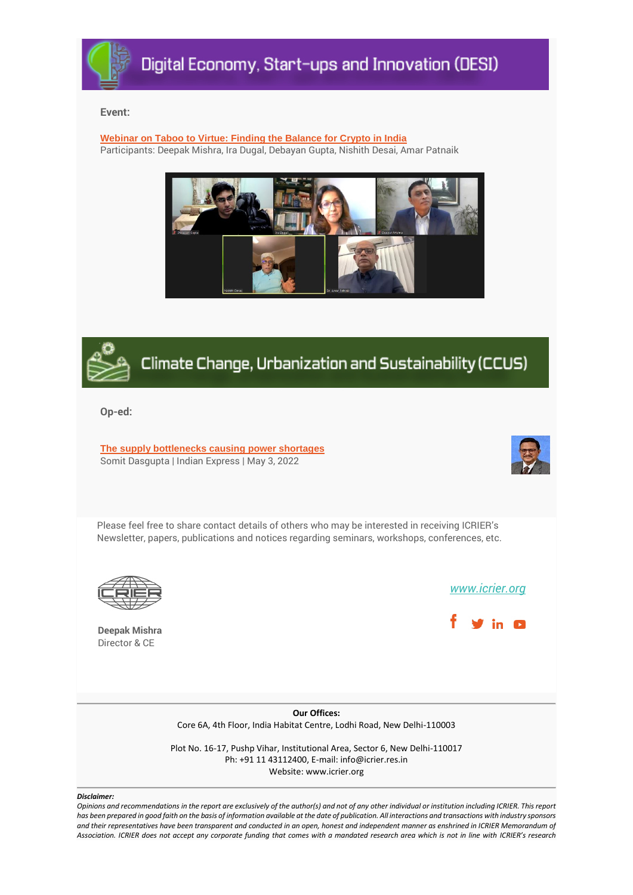

#### **Event:**

**Webinar on Taboo to Virtue: Finding the Balance for Crypto in India** Participants: Deepak Mishra, Ira Dugal, Debayan Gupta, Nishith Desai, Amar Patnaik





### Climate Change, Urbanization and Sustainability (CCUS)

**Op-ed:**

**[The supply bottlenecks causing power shortages](https://indianexpress.com/article/opinion/columns/the-supply-bottlenecks-causing-power-shortages-7898479/)** Somit Dasgupta | Indian Express | May 3, 2022



Please feel free to share contact details of others who may be interested in receiving ICRIER's Newsletter, papers, publications and notices regarding seminars, workshops, conferences, etc.



**Deepak Mishra** Director & CE

*[www.icrier.org](file:///C:/Users/ICRIER-R/Downloads/Emailer%20(1)/www.icrier.org)*



**Our Offices:** Core 6A, 4th Floor, India Habitat Centre, Lodhi Road, New Delhi-110003

Plot No. 16-17, Pushp Vihar, Institutional Area, Sector 6, New Delhi-110017 Ph: +91 11 43112400, E-mail: info@icrier.res.in Website: www.icrier.org

#### *Disclaimer:*

*Opinions and recommendations in the report are exclusively of the author(s) and not of any other individual or institution including ICRIER. This report has been prepared in good faith on the basis of information available at the date of publication. All interactions and transactions with industry sponsors and their representatives have been transparent and conducted in an open, honest and independent manner as enshrined in ICRIER Memorandum of Association. ICRIER does not accept any corporate funding that comes with a mandated research area which is not in line with ICRIER's research*